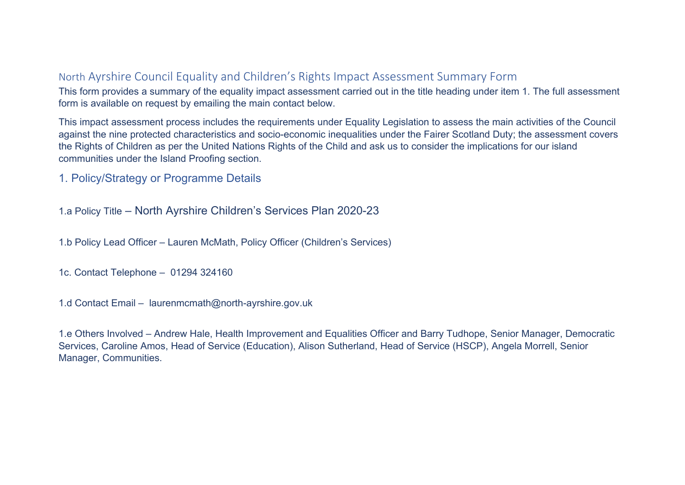# North Ayrshire Council Equality and Children's Rights Impact Assessment Summary Form

This form provides a summary of the equality impact assessment carried out in the title heading under item 1. The full assessment form is available on request by emailing the main contact below.

This impact assessment process includes the requirements under Equality Legislation to assess the main activities of the Council against the nine protected characteristics and socio-economic inequalities under the Fairer Scotland Duty; the assessment covers the Rights of Children as per the United Nations Rights of the Child and ask us to consider the implications for our island communities under the Island Proofing section.

1. Policy/Strategy or Programme Details

1.a Policy Title – North Ayrshire Children's Services Plan 2020-23

1.b Policy Lead Officer – Lauren McMath, Policy Officer (Children's Services)

1c. Contact Telephone – 01294 324160

1.d Contact Email – laurenmcmath@north-ayrshire.gov.uk

1.e Others Involved – Andrew Hale, Health Improvement and Equalities Officer and Barry Tudhope, Senior Manager, Democratic Services, Caroline Amos, Head of Service (Education), Alison Sutherland, Head of Service (HSCP), Angela Morrell, Senior Manager, Communities.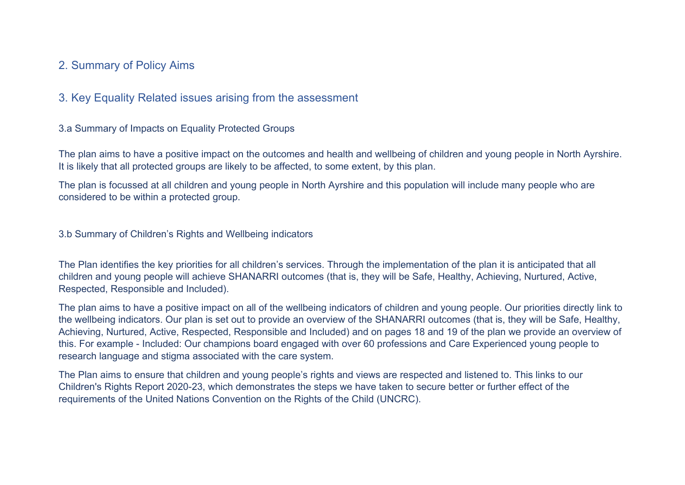# 2. Summary of Policy Aims

#### 3. Key Equality Related issues arising from the assessment

3.a Summary of Impacts on Equality Protected Groups

The plan aims to have a positive impact on the outcomes and health and wellbeing of children and young people in North Ayrshire. It is likely that all protected groups are likely to be affected, to some extent, by this plan.

The plan is focussed at all children and young people in North Ayrshire and this population will include many people who are considered to be within a protected group.

3.b Summary of Children's Rights and Wellbeing indicators

The Plan identifies the key priorities for all children's services. Through the implementation of the plan it is anticipated that all children and young people will achieve SHANARRI outcomes (that is, they will be Safe, Healthy, Achieving, Nurtured, Active, Respected, Responsible and Included).

The plan aims to have a positive impact on all of the wellbeing indicators of children and young people. Our priorities directly link to the wellbeing indicators. Our plan is set out to provide an overview of the SHANARRI outcomes (that is, they will be Safe, Healthy, Achieving, Nurtured, Active, Respected, Responsible and Included) and on pages 18 and 19 of the plan we provide an overview of this. For example - Included: Our champions board engaged with over 60 professions and Care Experienced young people to research language and stigma associated with the care system.

The Plan aims to ensure that children and young people's rights and views are respected and listened to. This links to our Children's Rights Report 2020-23, which demonstrates the steps we have taken to secure better or further effect of the requirements of the United Nations Convention on the Rights of the Child (UNCRC).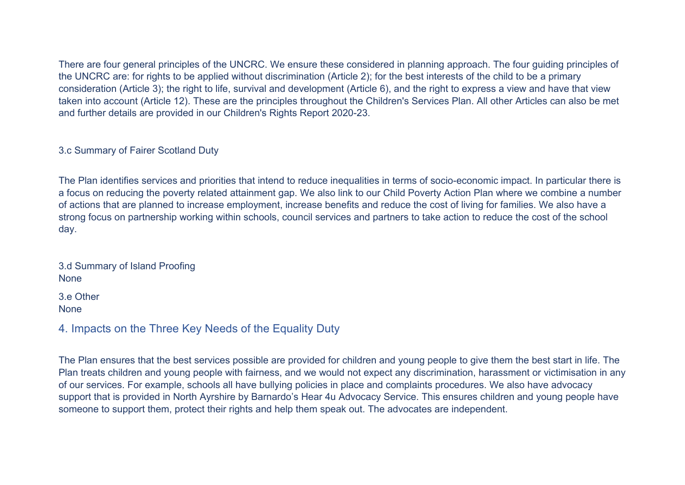There are four general principles of the UNCRC. We ensure these considered in planning approach. The four guiding principles of the UNCRC are: for rights to be applied without discrimination (Article 2); for the best interests of the child to be a primary consideration (Article 3); the right to life, survival and development (Article 6), and the right to express a view and have that view taken into account (Article 12). These are the principles throughout the Children's Services Plan. All other Articles can also be met and further details are provided in our Children's Rights Report 2020-23.

3.c Summary of Fairer Scotland Duty

The Plan identifies services and priorities that intend to reduce inequalities in terms of socio-economic impact. In particular there is a focus on reducing the poverty related attainment gap. We also link to our Child Poverty Action Plan where we combine a number of actions that are planned to increase employment, increase benefits and reduce the cost of living for families. We also have a strong focus on partnership working within schools, council services and partners to take action to reduce the cost of the school day.

3.d Summary of Island Proofing **None** 

3.e Other None

4. Impacts on the Three Key Needs of the Equality Duty

The Plan ensures that the best services possible are provided for children and young people to give them the best start in life. The Plan treats children and young people with fairness, and we would not expect any discrimination, harassment or victimisation in any of our services. For example, schools all have bullying policies in place and complaints procedures. We also have advocacy support that is provided in North Ayrshire by Barnardo's Hear 4u Advocacy Service. This ensures children and young people have someone to support them, protect their rights and help them speak out. The advocates are independent.